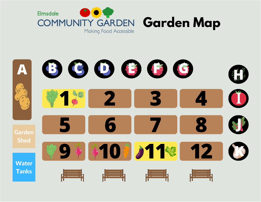

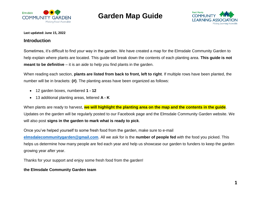



#### **Last updated: June 15, 2022**

#### **Introduction**

Sometimes, it's difficult to find your way in the garden. We have created a map for the Elmsdale Community Garden to help explain where plants are located. This guide will break down the contents of each planting area. **This guide is not meant to be definitive** – it is an aide to help you find plants in the garden.

When reading each section, **plants are listed from back to front, left to right**. If multiple rows have been planted, the number will be in brackets: **(#)**. The planting areas have been organized as follows:

- 12 garden boxes, numbered **1 - 12**
- 13 additional planting areas, lettered **A - K**

When plants are ready to harvest, **we will highlight the planting area on the map and the contents in the guide**. Updates on the garden will be regularly posted to our Facebook page and the Elmsdale Community Garden website. We will also post **signs in the garden to mark what is ready to pick**.

Once you've helped yourself to some fresh food from the garden, make sure to e-mail **[elmsdalecommunitygarden@gmail.com](mailto:elmsdalecommunitygarden@gmail.com)**. All we ask for is the **number of people fed** with the food you picked. This helps us determine how many people are fed each year and help us showcase our garden to funders to keep the garden growing year after year.

Thanks for your support and enjoy some fresh food from the garden!

#### **the Elmsdale Community Garden team**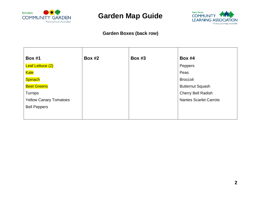



### **Garden Boxes (back row)**

| <b>Box #1</b>                 | <b>Box #2</b> | <b>Box #3</b> | <b>Box #4</b>                 |
|-------------------------------|---------------|---------------|-------------------------------|
| Leaf Lettuce (2)              |               |               | Peppers                       |
| <b>Kale</b>                   |               |               | Peas                          |
| Spinach                       |               |               | <b>Broccoli</b>               |
| <b>Beet Greens</b>            |               |               | <b>Butternut Squash</b>       |
| Turnips                       |               |               | Cherry Bell Radish            |
| <b>Yellow Canary Tomatoes</b> |               |               | <b>Nantes Scarlet Carrots</b> |
| <b>Bell Peppers</b>           |               |               |                               |
|                               |               |               |                               |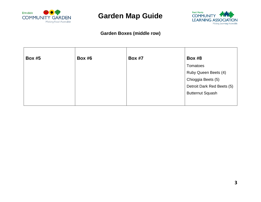



#### **Garden Boxes (middle row)**

| <b>Box #5</b> | <b>Box #6</b> | <b>Box #7</b> | <b>Box #8</b>              |
|---------------|---------------|---------------|----------------------------|
|               |               |               | Tomatoes                   |
|               |               |               | Ruby Queen Beets (4)       |
|               |               |               | Chioggia Beets (5)         |
|               |               |               | Detroit Dark Red Beets (5) |
|               |               |               | <b>Butternut Squash</b>    |
|               |               |               |                            |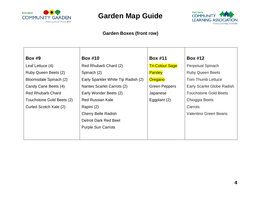



### **Garden Boxes (front row)**

| <b>Box #9</b>             | <b>Box #10</b>                      | <b>Box #11</b>         | <b>Box #12</b>               |  |
|---------------------------|-------------------------------------|------------------------|------------------------------|--|
| Leaf Lettuce (4)          | Red Rhubarb Chard (2)               | <b>Tri-Colour Sage</b> | Perpetual Spinach            |  |
| Ruby Queen Beets (2)      | Spinach (2)                         | <b>Parsley</b>         | <b>Ruby Queen Beets</b>      |  |
| Bloomsdale Spinach (2)    | Early Sparkler White Tip Radish (2) | Oregano                | <b>Tom Thumb Lettuce</b>     |  |
| Candy Cane Beets (4)      | Nantes Scarlet Carrots (2)          | <b>Green Peppers</b>   | Early Scarlet Globe Radish   |  |
| <b>Red Rhubarb Chard</b>  | Early Wonder Beets (2)              | Japanese               | <b>Touchstone Gold Beets</b> |  |
| Touchstone Gold Beets (2) | <b>Red Russian Kale</b>             | Eggplant (2)           | Chioggia Beets               |  |
| Curled Scotch Kale (2)    | Rapini (2)                          |                        | Carrots                      |  |
|                           | <b>Cherry Belle Radish</b>          |                        | <b>Valentino Green Beans</b> |  |
|                           | Detroit Dark Red Beet               |                        |                              |  |
|                           | <b>Purple Sun Carrots</b>           |                        |                              |  |
|                           |                                     |                        |                              |  |